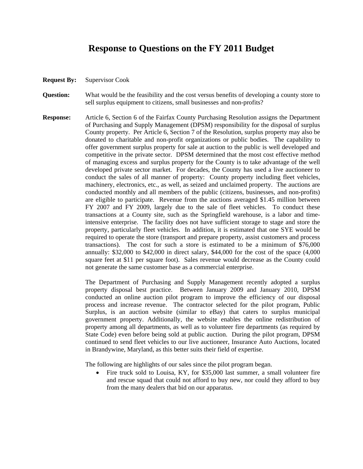## **Response to Questions on the FY 2011 Budget**

- **Request By:** Supervisor Cook
- **Question:** What would be the feasibility and the cost versus benefits of developing a county store to sell surplus equipment to citizens, small businesses and non-profits?
- **Response:** Article 6, Section 6 of the Fairfax County Purchasing Resolution assigns the Department of Purchasing and Supply Management (DPSM) responsibility for the disposal of surplus County property. Per Article 6, Section 7 of the Resolution, surplus property may also be donated to charitable and non-profit organizations or public bodies. The capability to offer government surplus property for sale at auction to the public is well developed and competitive in the private sector. DPSM determined that the most cost effective method of managing excess and surplus property for the County is to take advantage of the well developed private sector market. For decades, the County has used a live auctioneer to conduct the sales of all manner of property: County property including fleet vehicles, machinery, electronics, etc., as well, as seized and unclaimed property. The auctions are conducted monthly and all members of the public (citizens, businesses, and non-profits) are eligible to participate. Revenue from the auctions averaged \$1.45 million between FY 2007 and FY 2009, largely due to the sale of fleet vehicles. To conduct these transactions at a County site, such as the Springfield warehouse, is a labor and timeintensive enterprise. The facility does not have sufficient storage to stage and store the property, particularly fleet vehicles. In addition, it is estimated that one SYE would be required to operate the store (transport and prepare property, assist customers and process transactions). The cost for such a store is estimated to be a minimum of \$76,000 annually: \$32,000 to \$42,000 in direct salary, \$44,000 for the cost of the space (4,000 square feet at \$11 per square foot). Sales revenue would decrease as the County could not generate the same customer base as a commercial enterprise.

The Department of Purchasing and Supply Management recently adopted a surplus property disposal best practice. Between January 2009 and January 2010, DPSM conducted an online auction pilot program to improve the efficiency of our disposal process and increase revenue. The contractor selected for the pilot program, Public Surplus, is an auction website (similar to eBay) that caters to surplus municipal government property. Additionally, the website enables the online redistribution of property among all departments, as well as to volunteer fire departments (as required by State Code) even before being sold at public auction. During the pilot program, DPSM continued to send fleet vehicles to our live auctioneer, Insurance Auto Auctions, located in Brandywine, Maryland, as this better suits their field of expertise.

The following are highlights of our sales since the pilot program began.

• Fire truck sold to Louisa, KY, for \$35,000 last summer, a small volunteer fire and rescue squad that could not afford to buy new, nor could they afford to buy from the many dealers that bid on our apparatus.